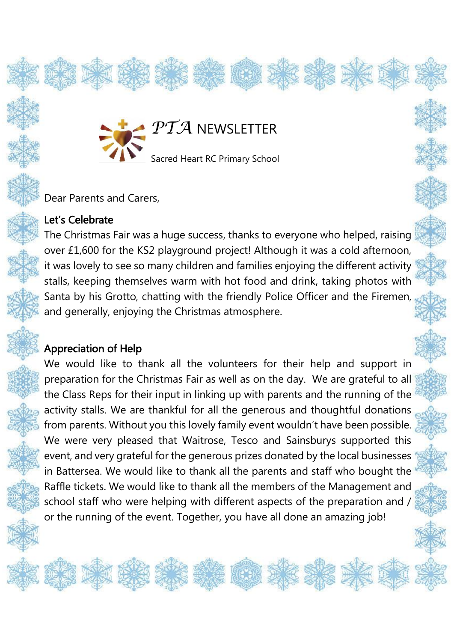

Dear Parents and Carers,

## Let's Celebrate

The Christmas Fair was a huge success, thanks to everyone who helped, raising over £1,600 for the KS2 playground project! Although it was a cold afternoon, it was lovely to see so many children and families enjoying the different activity stalls, keeping themselves warm with hot food and drink, taking photos with Santa by his Grotto, chatting with the friendly Police Officer and the Firemen, and generally, enjoying the Christmas atmosphere.

## Appreciation of Help

l,

Š

We would like to thank all the volunteers for their help and support in preparation for the Christmas Fair as well as on the day. We are grateful to all the Class Reps for their input in linking up with parents and the running of the activity stalls. We are thankful for all the generous and thoughtful donations from parents. Without you this lovely family event wouldn't have been possible. We were very pleased that Waitrose, Tesco and Sainsburys supported this event, and very grateful for the generous prizes donated by the local businesses in Battersea. We would like to thank all the parents and staff who bought the Raffle tickets. We would like to thank all the members of the Management and school staff who were helping with different aspects of the preparation and / or the running of the event. Together, you have all done an amazing job!